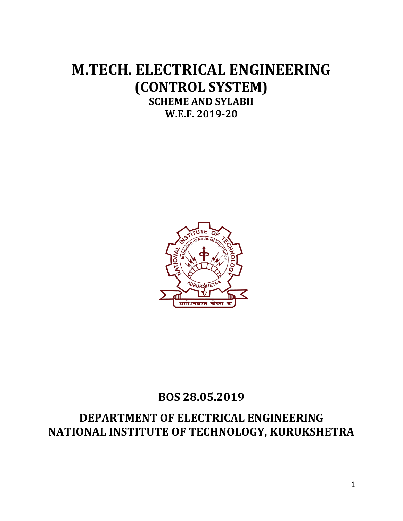# **M.TECH. ELECTRICAL ENGINEERING (CONTROL SYSTEM) SCHEME AND SYLABII W.E.F. 2019-20**



# **BOS 28.05.2019**

# **DEPARTMENT OF ELECTRICAL ENGINEERING NATIONAL INSTITUTE OF TECHNOLOGY, KURUKSHETRA**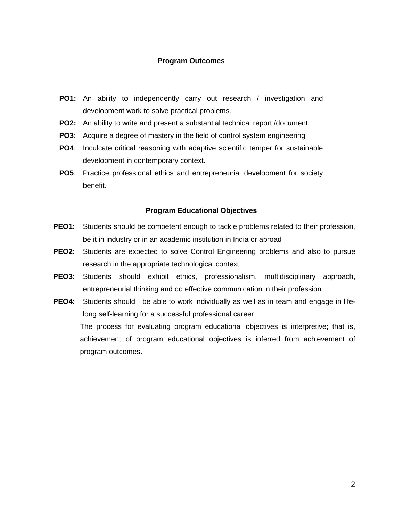#### **Program Outcomes**

- **PO1:** An ability to independently carry out research / investigation and development work to solve practical problems.
- **PO2:** An ability to write and present a substantial technical report /document.
- **PO3**: Acquire a degree of mastery in the field of control system engineering
- **PO4**: Inculcate critical reasoning with adaptive scientific temper for sustainable development in contemporary context.
- **PO5**: Practice professional ethics and entrepreneurial development for society benefit.

#### **Program Educational Objectives**

- **PEO1:** Students should be competent enough to tackle problems related to their profession, be it in industry or in an academic institution in India or abroad
- **PEO2:** Students are expected to solve Control Engineering problems and also to pursue research in the appropriate technological context
- **PEO3:** Students should exhibit ethics, professionalism, multidisciplinary approach, entrepreneurial thinking and do effective communication in their profession
- **PEO4:** Students should be able to work individually as well as in team and engage in lifelong self-learning for a successful professional career The process for evaluating program educational objectives is interpretive; that is, achievement of program educational objectives is inferred from achievement of program outcomes.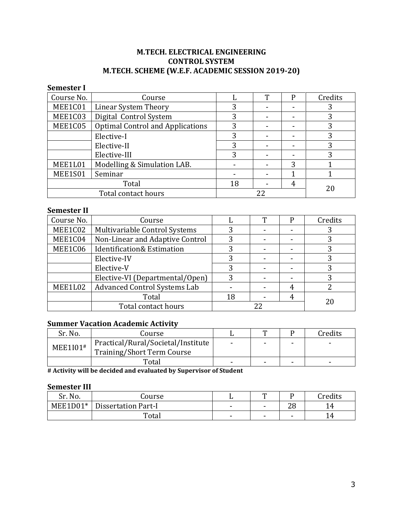# **M.TECH. ELECTRICAL ENGINEERING CONTROL SYSTEM M.TECH. SCHEME (W.E.F. ACADEMIC SESSION 2019-20)**

| <b>Semester I</b>                                  |                        |    |    |   |         |
|----------------------------------------------------|------------------------|----|----|---|---------|
| Course No.                                         | Course                 |    | Т  | P | Credits |
| MEE1C01                                            | Linear System Theory   | 3  |    |   |         |
| MEE1C03                                            | Digital Control System | 3  |    |   | 3       |
| MEE1C05<br><b>Optimal Control and Applications</b> |                        | 3  |    |   |         |
| Elective-I                                         |                        | 3  |    |   | 3       |
| Elective-II                                        |                        | 3  |    |   | 3       |
| Elective-III                                       |                        | 3  |    |   |         |
| MEE1L01<br>Modelling & Simulation LAB.             |                        |    |    | 3 |         |
| MEE1S01<br>Seminar                                 |                        |    |    |   |         |
| Total                                              |                        | 18 |    | 4 |         |
| Total contact hours                                |                        |    | 22 |   | 20      |

#### **Semester II**

| Course No.          | Course                                |   | m | Credits |
|---------------------|---------------------------------------|---|---|---------|
| MEE1C02             | Multivariable Control Systems         | 3 |   |         |
| MEE1C04             | Non-Linear and Adaptive Control       | 3 |   | 3       |
| MEE1C06             | <b>Identification&amp; Estimation</b> | 3 |   |         |
|                     | Elective-IV                           |   |   |         |
|                     | Elective-V                            |   |   |         |
|                     | Elective-VI (Departmental/Open)       |   |   |         |
| MEE1L02             | <b>Advanced Control Systems Lab</b>   |   |   |         |
|                     | Total                                 |   |   |         |
| Total contact hours |                                       |   |   | 20      |

# **Summer Vacation Academic Activity**

| Sr. No.                                        | Course                            |                          | m |   | Credits                  |
|------------------------------------------------|-----------------------------------|--------------------------|---|---|--------------------------|
| Practical/Rural/Societal/Institute<br>MEE1I01# |                                   |                          |   | - | $\overline{\phantom{a}}$ |
|                                                | <b>Training/Short Term Course</b> |                          |   |   |                          |
|                                                | Total                             | $\overline{\phantom{0}}$ |   | - | $\overline{\phantom{0}}$ |

**# Activity will be decided and evaluated by Supervisor of Student**

#### **Semester III**

| Sr. No.    | Jourse -                   |                          | m                        |          | Credits                  |
|------------|----------------------------|--------------------------|--------------------------|----------|--------------------------|
| $MEE1D01*$ | <b>Dissertation Part-I</b> | $\overline{\phantom{0}}$ | $\overline{\phantom{a}}$ | nn<br>∠∪ | . .                      |
|            | Total                      | $\overline{\phantom{a}}$ | $\overline{\phantom{0}}$ | -        | $\overline{\phantom{a}}$ |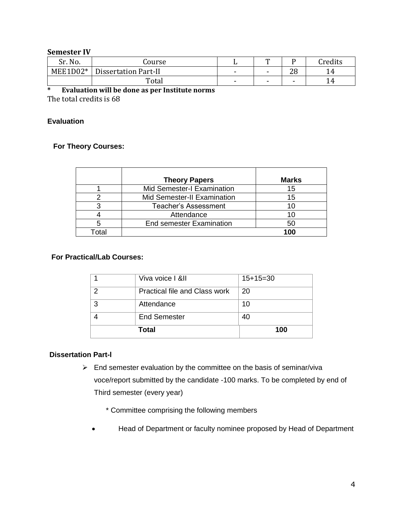#### **Semester IV**

| Sr. No.  | Course                      |                          | m               |          | <b>Tredits</b> |
|----------|-----------------------------|--------------------------|-----------------|----------|----------------|
| MEE1D02* | <b>Dissertation Part-II</b> | $\overline{\phantom{0}}$ | $\qquad \qquad$ | ററ<br>۷o | 14             |
|          | Total                       | $\blacksquare$           | $\blacksquare$  | -        | 14             |

## **\* Evaluation will be done as per Institute norms**

The total credits is 68

#### **Evaluation**

#### **For Theory Courses:**

|       | <b>Theory Papers</b>            | <b>Marks</b> |
|-------|---------------------------------|--------------|
|       | Mid Semester-I Examination      | 15           |
|       | Mid Semester-II Examination     | 15           |
| ว     | <b>Teacher's Assessment</b>     | 11           |
|       | Attendance                      |              |
| 5     | <b>End semester Examination</b> | 50           |
| Гоtal |                                 | 100          |

#### **For Practical/Lab Courses:**

|   | <b>End Semester</b><br>Total  | 40<br>100  |
|---|-------------------------------|------------|
| 3 | Attendance                    | 10         |
| ⌒ | Practical file and Class work | 20         |
|   | Viva voice   & II             | $15+15=30$ |

#### **Dissertation Part-l**

- $\triangleright$  End semester evaluation by the committee on the basis of seminar/viva voce/report submitted by the candidate -100 marks. To be completed by end of Third semester (every year)
	- \* Committee comprising the following members
	- Head of Department or faculty nominee proposed by Head of Department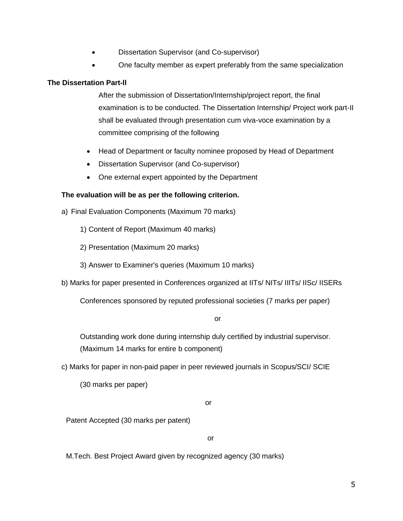- Dissertation Supervisor (and Co-supervisor)
- One faculty member as expert preferably from the same specialization

#### **The Dissertation Part-ll**

After the submission of Dissertation/Internship/project report, the final examination is to be conducted. The Dissertation Internship/ Project work part-II shall be evaluated through presentation cum viva-voce examination by a committee comprising of the following

- Head of Department or faculty nominee proposed by Head of Department
- Dissertation Supervisor (and Co-supervisor)
- One external expert appointed by the Department

#### **The evaluation will be as per the following criterion.**

- a) Final Evaluation Components (Maximum 70 marks)
	- 1) Content of Report (Maximum 40 marks)
	- 2) Presentation (Maximum 20 marks)
	- 3) Answer to Examiner's queries (Maximum 10 marks)
- b) Marks for paper presented in Conferences organized at IITs/ NITs/ IIITs/ IISc/ IISERs

Conferences sponsored by reputed professional societies (7 marks per paper)

or

Outstanding work done during internship duly certified by industrial supervisor. (Maximum 14 marks for entire b component)

c) Marks for paper in non-paid paper in peer reviewed journals in Scopus/SCI/ SCIE

(30 marks per paper)

or

Patent Accepted (30 marks per patent)

or

M.Tech. Best Project Award given by recognized agency (30 marks)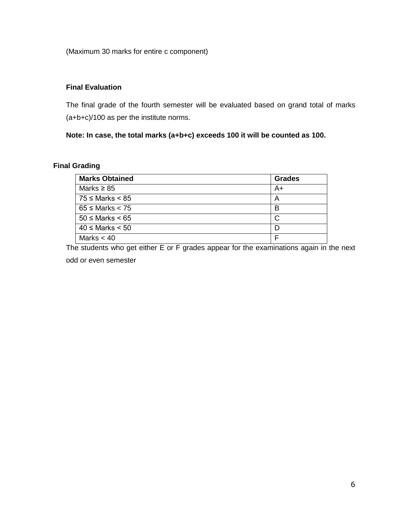(Maximum 30 marks for entire c component)

#### **Final Evaluation**

The final grade of the fourth semester will be evaluated based on grand total of marks (a+b+c)/100 as per the institute norms.

**Note: In case, the total marks (a+b+c) exceeds 100 it will be counted as 100.** 

## **Final Grading**

| <b>Marks Obtained</b>  | <b>Grades</b> |
|------------------------|---------------|
| Marks $\geq 85$        | A+            |
| 75 ≤ Marks < 85        | A             |
| $65 \leq$ Marks $<$ 75 | в             |
| $50 \leq$ Marks $< 65$ | C             |
| $40 \leq$ Marks $< 50$ |               |
| Marks $< 40$           |               |

The students who get either E or F grades appear for the examinations again in the next

odd or even semester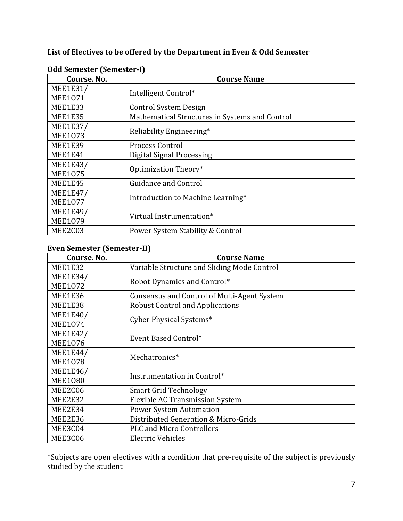# **List of Electives to be offered by the Department in Even & Odd Semester**

| Course. No.     | <b>Course Name</b>                             |
|-----------------|------------------------------------------------|
| <b>MEE1E31/</b> |                                                |
| <b>MEE1071</b>  | Intelligent Control*                           |
| MEE1E33         | Control System Design                          |
| <b>MEE1E35</b>  | Mathematical Structures in Systems and Control |
| <b>MEE1E37/</b> |                                                |
| <b>MEE1073</b>  | Reliability Engineering*                       |
| MEE1E39         | Process Control                                |
| MEE1E41         | <b>Digital Signal Processing</b>               |
| <b>MEE1E43/</b> |                                                |
| <b>MEE1075</b>  | Optimization Theory*                           |
| MEE1E45         | <b>Guidance and Control</b>                    |
| <b>MEE1E47/</b> |                                                |
| <b>MEE1077</b>  | Introduction to Machine Learning*              |
| <b>MEE1E49/</b> | Virtual Instrumentation*                       |
| <b>MEE1079</b>  |                                                |
| MEE2C03         | Power System Stability & Control               |

#### **Odd Semester (Semester-I)**

# **Even Semester (Semester-II)**

| Course. No.     | <b>Course Name</b>                          |
|-----------------|---------------------------------------------|
| MEE1E32         | Variable Structure and Sliding Mode Control |
| <b>MEE1E34/</b> |                                             |
| <b>MEE1072</b>  | Robot Dynamics and Control*                 |
| <b>MEE1E36</b>  | Consensus and Control of Multi-Agent System |
| MEE1E38         | <b>Robust Control and Applications</b>      |
| <b>MEE1E40/</b> |                                             |
| <b>MEE1074</b>  | Cyber Physical Systems*                     |
| <b>MEE1E42/</b> | Event Based Control*                        |
| <b>MEE1076</b>  |                                             |
| <b>MEE1E44/</b> | Mechatronics*                               |
| <b>MEE1078</b>  |                                             |
| <b>MEE1E46/</b> | Instrumentation in Control*                 |
| <b>MEE1080</b>  |                                             |
| MEE2C06         | <b>Smart Grid Technology</b>                |
| MEE2E32         | <b>Flexible AC Transmission System</b>      |
| MEE2E34         | <b>Power System Automation</b>              |
| MEE2E36         | Distributed Generation & Micro-Grids        |
| MEE3C04         | <b>PLC and Micro Controllers</b>            |
| MEE3C06         | <b>Electric Vehicles</b>                    |

\*Subjects are open electives with a condition that pre-requisite of the subject is previously studied by the student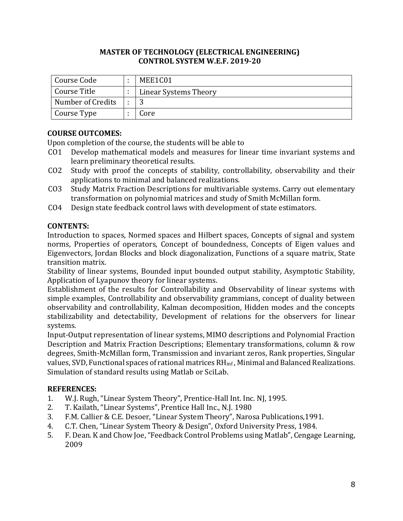| Course Code       | MEE1C01               |
|-------------------|-----------------------|
| Course Title      | Linear Systems Theory |
| Number of Credits |                       |
| Course Type       | Core                  |

# **COURSE OUTCOMES:**

Upon completion of the course, the students will be able to

- CO1 Develop mathematical models and measures for linear time invariant systems and learn preliminary theoretical results.
- CO2 Study with proof the concepts of stability, controllability, observability and their applications to minimal and balanced realizations.
- CO3 Study Matrix Fraction Descriptions for multivariable systems. Carry out elementary transformation on polynomial matrices and study of Smith McMillan form.
- CO4 Design state feedback control laws with development of state estimators.

## **CONTENTS:**

Introduction to spaces, Normed spaces and Hilbert spaces, Concepts of signal and system norms, Properties of operators, Concept of boundedness, Concepts of Eigen values and Eigenvectors, Jordan Blocks and block diagonalization, Functions of a square matrix, State transition matrix.

Stability of linear systems, Bounded input bounded output stability, Asymptotic Stability, Application of Lyapunov theory for linear systems.

Establishment of the results for Controllability and Observability of linear systems with simple examples, Controllability and observability grammians, concept of duality between observability and controllability, Kalman decomposition, Hidden modes and the concepts stabilizability and detectability, Development of relations for the observers for linear systems.

Input-Output representation of linear systems, MIMO descriptions and Polynomial Fraction Description and Matrix Fraction Descriptions; Elementary transformations, column & row degrees, Smith-McMillan form, Transmission and invariant zeros, Rank properties, Singular values, SVD, Functional spaces of rational matrices RHinf , Minimal and Balanced Realizations. Simulation of standard results using Matlab or SciLab.

- 1. W.J. Rugh, "Linear System Theory", Prentice-Hall Int. Inc. NJ, 1995.
- 2. T. Kailath, "Linear Systems", Prentice Hall Inc., N.J. 1980
- 3. F.M. Callier & C.E. Desoer, "Linear System Theory", Narosa Publications,1991.
- 4. C.T. Chen, "Linear System Theory & Design", Oxford University Press, 1984.
- 5. F. Dean. K and Chow Joe, "Feedback Control Problems using Matlab", Cengage Learning, 2009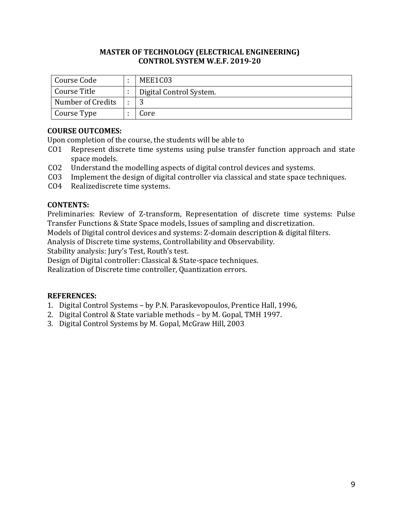| Course Code       | MEE1C03                 |
|-------------------|-------------------------|
| Course Title      | Digital Control System. |
| Number of Credits |                         |
| Course Type       | Core                    |

# **COURSE OUTCOMES:**

Upon completion of the course, the students will be able to

- CO1 Represent discrete time systems using pulse transfer function approach and state space models.
- CO2 Understand the modelling aspects of digital control devices and systems.
- CO3 Implement the design of digital controller via classical and state space techniques.
- CO4 Realizediscrete time systems.

# **CONTENTS:**

Preliminaries: Review of Z-transform, Representation of discrete time systems: Pulse Transfer Functions & State Space models, Issues of sampling and discretization.

Models of Digital control devices and systems: Z-domain description & digital filters.

Analysis of Discrete time systems, Controllability and Observability.

Stability analysis: Jury's Test, Routh's test.

Design of Digital controller: Classical & State-space techniques.

Realization of Discrete time controller, Quantization errors.

- 1. Digital Control Systems by P.N. Paraskevopoulos, Prentice Hall, 1996,
- 2. Digital Control & State variable methods by M. Gopal, TMH 1997.
- 3. Digital Control Systems by M. Gopal, McGraw Hill, 2003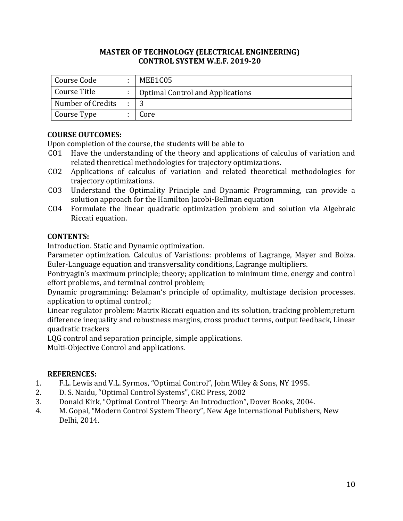| Course Code       | MEE1C05                                 |
|-------------------|-----------------------------------------|
| Course Title      | <b>Optimal Control and Applications</b> |
| Number of Credits | 2                                       |
| Course Type       | Core                                    |

## **COURSE OUTCOMES:**

Upon completion of the course, the students will be able to

- CO1 Have the understanding of the theory and applications of calculus of variation and related theoretical methodologies for trajectory optimizations.
- CO2 Applications of calculus of variation and related theoretical methodologies for trajectory optimizations.
- CO3 Understand the Optimality Principle and Dynamic Programming, can provide a solution approach for the Hamilton Jacobi-Bellman equation
- CO4 Formulate the linear quadratic optimization problem and solution via Algebraic Riccati equation.

## **CONTENTS:**

Introduction. Static and Dynamic optimization.

Parameter optimization. Calculus of Variations: problems of Lagrange, Mayer and Bolza. Euler-Language equation and transversality conditions, Lagrange multipliers.

Pontryagin's maximum principle; theory; application to minimum time, energy and control effort problems, and terminal control problem;

Dynamic programming: Belaman's principle of optimality, multistage decision processes. application to optimal control.;

Linear regulator problem: Matrix Riccati equation and its solution, tracking problem;return difference inequality and robustness margins, cross product terms, output feedback, Linear quadratic trackers

LQG control and separation principle, simple applications.

Multi-Objective Control and applications.

- 1. F.L. Lewis and V.L. Syrmos, "Optimal Control", John Wiley & Sons, NY 1995.
- 2. D. S. Naidu, "Optimal Control Systems", CRC Press, 2002
- 3. Donald Kirk, "Optimal Control Theory: An Introduction", Dover Books, 2004.
- 4. M. Gopal, "Modern Control System Theory", New Age International Publishers, New Delhi, 2014.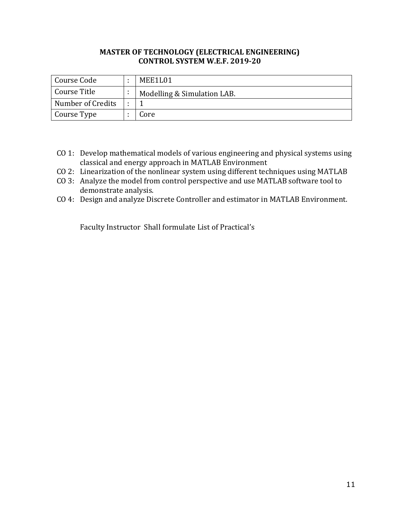| Course Code       | MEE1L01                     |
|-------------------|-----------------------------|
| Course Title      | Modelling & Simulation LAB. |
| Number of Credits |                             |
| Course Type       | Core                        |

- CO 1: Develop mathematical models of various engineering and physical systems using classical and energy approach in MATLAB Environment
- CO 2: Linearization of the nonlinear system using different techniques using MATLAB
- CO 3: Analyze the model from control perspective and use MATLAB software tool to demonstrate analysis.
- CO 4: Design and analyze Discrete Controller and estimator in MATLAB Environment.

Faculty Instructor Shall formulate List of Practical's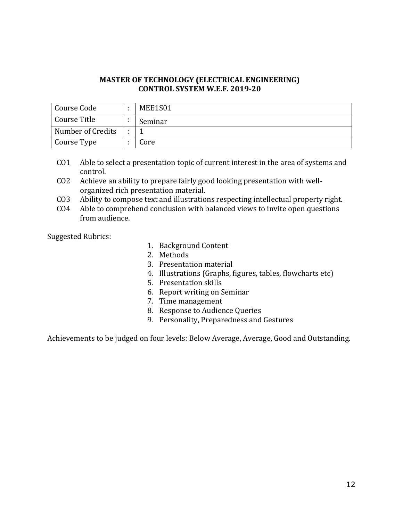| Course Code       | MEE1S01 |
|-------------------|---------|
| Course Title      | Seminar |
| Number of Credits |         |
| Course Type       | Core    |

- CO1 Able to select a presentation topic of current interest in the area of systems and control.
- CO2 Achieve an ability to prepare fairly good looking presentation with wellorganized rich presentation material.
- CO3 Ability to compose text and illustrations respecting intellectual property right.
- CO4 Able to comprehend conclusion with balanced views to invite open questions from audience.

Suggested Rubrics:

- 1. Background Content
- 2. Methods
- 3. Presentation material
- 4. Illustrations (Graphs, figures, tables, flowcharts etc)
- 5. Presentation skills
- 6. Report writing on Seminar
- 7. Time management
- 8. Response to Audience Queries
- 9. Personality, Preparedness and Gestures

Achievements to be judged on four levels: Below Average, Average, Good and Outstanding.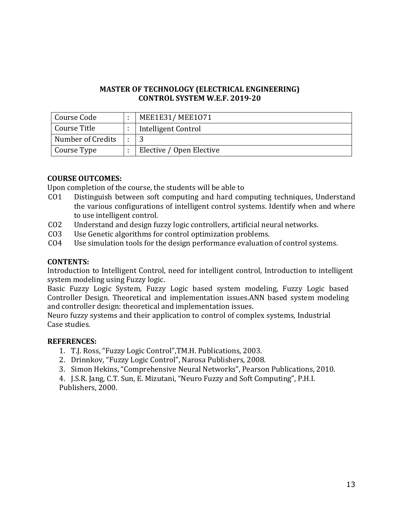| Course Code       | MEE1E31/MEE1071          |
|-------------------|--------------------------|
| Course Title      | Intelligent Control      |
| Number of Credits |                          |
| Course Type       | Elective / Open Elective |

## **COURSE OUTCOMES:**

Upon completion of the course, the students will be able to

- CO1 Distinguish between soft computing and hard computing techniques, Understand the various configurations of intelligent control systems. Identify when and where to use intelligent control.
- CO2 Understand and design fuzzy logic controllers, artificial neural networks.
- CO3 Use Genetic algorithms for control optimization problems.
- CO4 Use simulation tools for the design performance evaluation of control systems.

#### **CONTENTS:**

Introduction to Intelligent Control, need for intelligent control, Introduction to intelligent system modeling using Fuzzy logic.

Basic Fuzzy Logic System, Fuzzy Logic based system modeling, Fuzzy Logic based Controller Design. Theoretical and implementation issues.ANN based system modeling and controller design: theoretical and implementation issues.

Neuro fuzzy systems and their application to control of complex systems, Industrial Case studies.

#### **REFERENCES:**

- 1. T.J. Ross, "Fuzzy Logic Control",TM.H. Publications, 2003.
- 2. Drinnkov, "Fuzzy Logic Control", Narosa Publishers, 2008.
- 3. Simon Hekins, "Comprehensive Neural Networks", Pearson Publications, 2010.

4. J.S.R. Jang, C.T. Sun, E. Mizutani, "Neuro Fuzzy and Soft Computing", P.H.I. Publishers, 2000.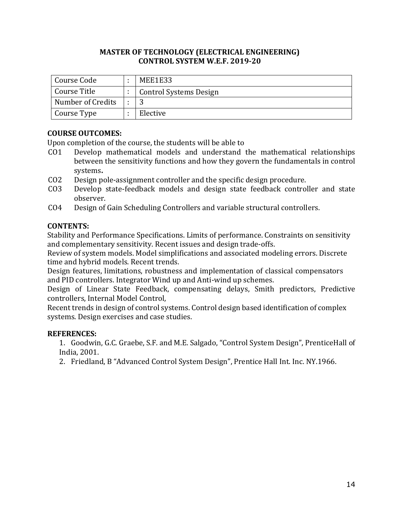| Course Code       | MEE1E33                       |
|-------------------|-------------------------------|
| Course Title      | <b>Control Systems Design</b> |
| Number of Credits |                               |
| Course Type       | Elective                      |

## **COURSE OUTCOMES:**

Upon completion of the course, the students will be able to

- CO1 Develop mathematical models and understand the mathematical relationships between the sensitivity functions and how they govern the fundamentals in control systems**.**
- CO2 Design pole-assignment controller and the specific design procedure.
- CO3 Develop state-feedback models and design state feedback controller and state observer.
- CO4 Design of Gain Scheduling Controllers and variable structural controllers.

## **CONTENTS:**

Stability and Performance Specifications. Limits of performance. Constraints on sensitivity and complementary sensitivity. Recent issues and design trade-offs.

Review of system models. Model simplifications and associated modeling errors. Discrete time and hybrid models. Recent trends.

Design features, limitations, robustness and implementation of classical compensators and PID controllers. Integrator Wind up and Anti-wind up schemes.

Design of Linear State Feedback, compensating delays, Smith predictors, Predictive controllers, Internal Model Control,

Recent trends in design of control systems. Control design based identification of complex systems. Design exercises and case studies.

# **REFERENCES:**

1. Goodwin, G.C. Graebe, S.F. and M.E. Salgado, "Control System Design", PrenticeHall of India, 2001.

2. Friedland, B "Advanced Control System Design", Prentice Hall Int. Inc. NY.1966.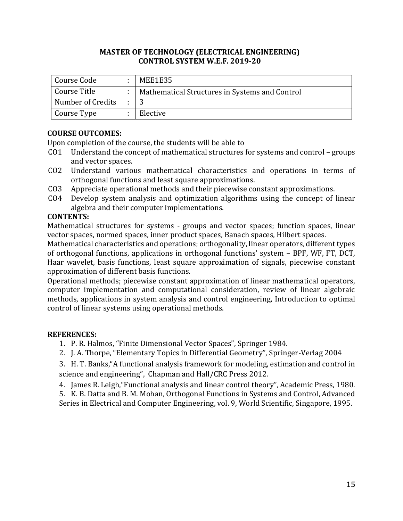| Course Code       | MEE1E35                                        |
|-------------------|------------------------------------------------|
| Course Title      | Mathematical Structures in Systems and Control |
| Number of Credits |                                                |
| Course Type       | Elective                                       |

## **COURSE OUTCOMES:**

Upon completion of the course, the students will be able to

- CO1 Understand the concept of mathematical structures for systems and control groups and vector spaces.
- CO2 Understand various mathematical characteristics and operations in terms of orthogonal functions and least square approximations.
- CO3 Appreciate operational methods and their piecewise constant approximations.
- CO4 Develop system analysis and optimization algorithms using the concept of linear algebra and their computer implementations.

## **CONTENTS:**

Mathematical structures for systems - groups and vector spaces; function spaces, linear vector spaces, normed spaces, inner product spaces, Banach spaces, Hilbert spaces.

Mathematical characteristics and operations; orthogonality, linear operators, different types of orthogonal functions, applications in orthogonal functions' system – BPF, WF, FT, DCT, Haar wavelet, basis functions, least square approximation of signals, piecewise constant approximation of different basis functions.

Operational methods; piecewise constant approximation of linear mathematical operators, computer implementation and computational consideration, review of linear algebraic methods, applications in system analysis and control engineering, Introduction to optimal control of linear systems using operational methods.

## **REFERENCES:**

- 1. P. R. Halmos, "Finite Dimensional Vector Spaces", Springer 1984.
- 2. J. A. Thorpe, "Elementary Topics in Differential Geometry", Springer-Verlag 2004

3. H. T. Banks,"A functional analysis framework for modeling, estimation and control in science and engineering", Chapman and Hall/CRC Press 2012.

4. James R. Leigh,"Functional analysis and linear control theory", Academic Press, 1980.

5. K. B. Datta and B. M. Mohan, Orthogonal Functions in Systems and Control, Advanced Series in Electrical and Computer Engineering, vol. 9, World Scientific, Singapore, 1995.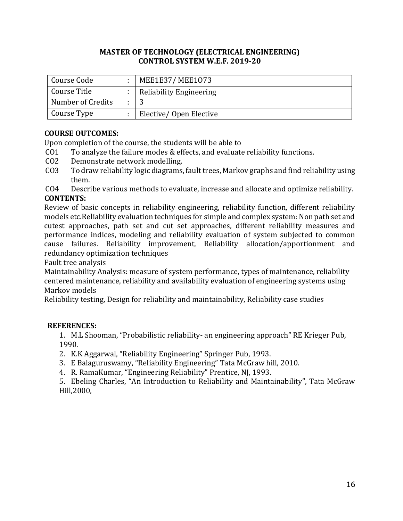| Course Code       | MEE1E37/MEE1073                |
|-------------------|--------------------------------|
| Course Title      | <b>Reliability Engineering</b> |
| Number of Credits |                                |
| Course Type       | Elective/Open Elective         |

# **COURSE OUTCOMES:**

Upon completion of the course, the students will be able to

- CO1 To analyze the failure modes & effects, and evaluate reliability functions.
- CO2 Demonstrate network modelling.
- CO3 To draw reliability logic diagrams, fault trees, Markov graphs and find reliability using them.
- CO4 Describe various methods to evaluate, increase and allocate and optimize reliability. **CONTENTS:**

Review of basic concepts in reliability engineering, reliability function, different reliability models etc.Reliability evaluation techniques for simple and complex system: Non path set and cutest approaches, path set and cut set approaches, different reliability measures and performance indices, modeling and reliability evaluation of system subjected to common cause failures. Reliability improvement, Reliability allocation/apportionment and redundancy optimization techniques

Fault tree analysis

Maintainability Analysis: measure of system performance, types of maintenance, reliability centered maintenance, reliability and availability evaluation of engineering systems using Markov models

Reliability testing, Design for reliability and maintainability, Reliability case studies

# **REFERENCES:**

1. M.L Shooman, "Probabilistic reliability- an engineering approach" RE Krieger Pub, 1990.

- 2. K.K Aggarwal, "Reliability Engineering" Springer Pub, 1993.
- 3. E Balaguruswamy, "Reliability Engineering" Tata McGraw hill, 2010.
- 4. R. RamaKumar, "Engineering Reliability" Prentice, NJ, 1993.

5. Ebeling Charles, "An Introduction to Reliability and Maintainability", Tata McGraw Hill,2000,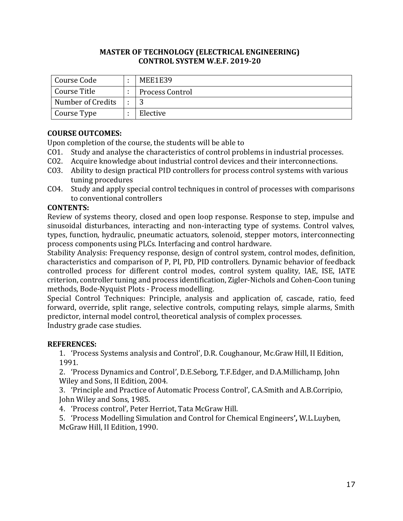| Course Code       | MEE1E39                |
|-------------------|------------------------|
| Course Title      | <b>Process Control</b> |
| Number of Credits |                        |
| Course Type       | Elective               |

# **COURSE OUTCOMES:**

Upon completion of the course, the students will be able to

- CO1. Study and analyse the characteristics of control problems in industrial processes.
- CO2. Acquire knowledge about industrial control devices and their interconnections.
- CO3. Ability to design practical PID controllers for process control systems with various tuning procedures
- CO4. Study and apply special control techniques in control of processes with comparisons to conventional controllers

# **CONTENTS:**

Review of systems theory, closed and open loop response. Response to step, impulse and sinusoidal disturbances, interacting and non-interacting type of systems. Control valves, types, function, hydraulic, pneumatic actuators, solenoid, stepper motors, interconnecting process components using PLCs. Interfacing and control hardware.

Stability Analysis: Frequency response, design of control system, control modes, definition, characteristics and comparison of P, PI, PD, PID controllers. Dynamic behavior of feedback controlled process for different control modes, control system quality, IAE, ISE, IATE criterion, controller tuning and process identification, Zigler-Nichols and Cohen-Coon tuning methods, Bode-Nyquist Plots - Process modelling.

Special Control Techniques: Principle, analysis and application of, cascade, ratio, feed forward, override, split range, selective controls, computing relays, simple alarms, Smith predictor, internal model control, theoretical analysis of complex processes. Industry grade case studies.

## **REFERENCES:**

1. 'Process Systems analysis and Control', D.R. Coughanour, Mc.Graw Hill, II Edition, 1991.

2. 'Process Dynamics and Control', D.E.Seborg, T.F.Edger, and D.A.Millichamp, John Wiley and Sons, II Edition, 2004.

3. 'Principle and Practice of Automatic Process Control', C.A.Smith and A.B.Corripio, John Wiley and Sons, 1985.

4. 'Process control', Peter Herriot, Tata McGraw Hill.

5. 'Process Modelling Simulation and Control for Chemical Engineers**',** W.L.Luyben, McGraw Hill, II Edition, 1990.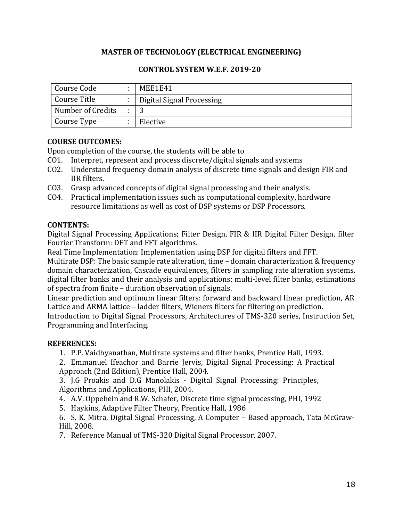# **MASTER OF TECHNOLOGY (ELECTRICAL ENGINEERING)**

## **CONTROL SYSTEM W.E.F. 2019-20**

| Course Code       | MEE1E41                   |
|-------------------|---------------------------|
| Course Title      | Digital Signal Processing |
| Number of Credits |                           |
| Course Type       | Elective                  |

## **COURSE OUTCOMES:**

Upon completion of the course, the students will be able to

- CO1. Interpret, represent and process discrete/digital signals and systems
- CO2. Understand frequency domain analysis of discrete time signals and design FIR and IIR filters.
- CO3. Grasp advanced concepts of digital signal processing and their analysis.
- CO4. Practical implementation issues such as computational complexity, hardware resource limitations as well as cost of DSP systems or DSP Processors.

## **CONTENTS:**

Digital Signal Processing Applications; Filter Design, FIR & IIR Digital Filter Design, filter Fourier Transform: DFT and FFT algorithms.

Real Time Implementation: Implementation using DSP for digital filters and FFT.

Multirate DSP: The basic sample rate alteration, time – domain characterization & frequency domain characterization, Cascade equivalences, filters in sampling rate alteration systems, digital filter banks and their analysis and applications; multi-level filter banks, estimations of spectra from finite – duration observation of signals.

Linear prediction and optimum linear filters: forward and backward linear prediction, AR Lattice and ARMA lattice – ladder filters, Wieners filters for filtering on prediction.

Introduction to Digital Signal Processors, Architectures of TMS-320 series, Instruction Set, Programming and Interfacing.

# **REFERENCES:**

1. P.P. Vaidhyanathan, Multirate systems and filter banks, Prentice Hall, 1993.

2. Emmanuel Ifeachor and Barrie Jervis, Digital Signal Processing: A Practical Approach (2nd Edition), Prentice Hall, 2004.

3. J.G Proakis and D.G Manolakis - Digital Signal Processing: Principles, Algorithms and Applications, PHI, 2004.

4. A.V. Oppehein and R.W. Schafer, Discrete time signal processing, PHI, 1992

5. Haykins, Adaptive Filter Theory, Prentice Hall, 1986

6. S. K. Mitra, Digital Signal Processing, A Computer – Based approach, Tata McGraw-Hill, 2008.

7. Reference Manual of TMS-320 Digital Signal Processor, 2007.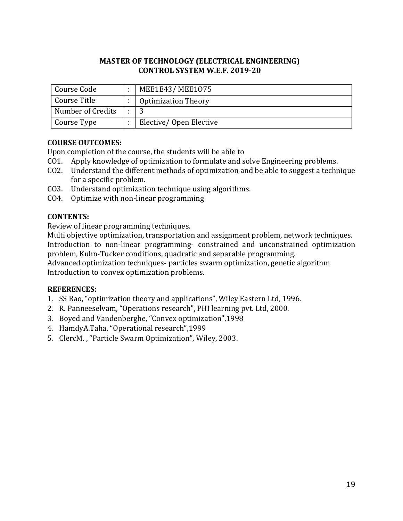| Course Code       | MEE1E43/MEE1075            |
|-------------------|----------------------------|
| Course Title      | <b>Optimization Theory</b> |
| Number of Credits |                            |
| Course Type       | Elective/Open Elective     |

# **COURSE OUTCOMES:**

Upon completion of the course, the students will be able to

- CO1. Apply knowledge of optimization to formulate and solve Engineering problems.
- CO2. Understand the different methods of optimization and be able to suggest a technique for a specific problem.
- CO3. Understand optimization technique using algorithms.
- CO4. Optimize with non-linear programming

## **CONTENTS:**

Review of linear programming techniques.

Multi objective optimization, transportation and assignment problem, network techniques. Introduction to non-linear programming- constrained and unconstrained optimization problem, Kuhn-Tucker conditions, quadratic and separable programming.

Advanced optimization techniques- particles swarm optimization, genetic algorithm Introduction to convex optimization problems.

- 1. SS Rao, "optimization theory and applications", Wiley Eastern Ltd, 1996.
- 2. R. Panneeselvam, "Operations research", PHI learning pvt. Ltd, 2000.
- 3. Boyed and Vandenberghe, "Convex optimization",1998
- 4. HamdyA.Taha, "Operational research",1999
- 5. ClercM. , "Particle Swarm Optimization", Wiley, 2003.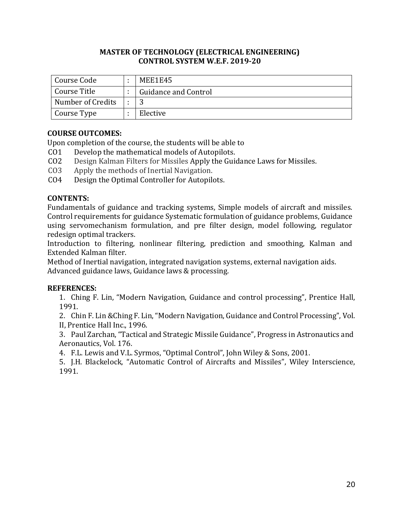| Course Code       | MEE1E45              |
|-------------------|----------------------|
| Course Title      | Guidance and Control |
| Number of Credits |                      |
| Course Type       | Elective             |

# **COURSE OUTCOMES:**

Upon completion of the course, the students will be able to

- CO1 Develop the mathematical models of Autopilots.
- CO2 Design Kalman Filters for Missiles Apply the Guidance Laws for Missiles.
- CO3 Apply the methods of Inertial Navigation.
- CO4 Design the Optimal Controller for Autopilots.

## **CONTENTS:**

Fundamentals of guidance and tracking systems, Simple models of aircraft and missiles. Control requirements for guidance Systematic formulation of guidance problems, Guidance using servomechanism formulation, and pre filter design, model following, regulator redesign optimal trackers.

Introduction to filtering, nonlinear filtering, prediction and smoothing, Kalman and Extended Kalman filter.

Method of Inertial navigation, integrated navigation systems, external navigation aids. Advanced guidance laws, Guidance laws & processing.

# **REFERENCES:**

1. Ching F. Lin, "Modern Navigation, Guidance and control processing", Prentice Hall, 1991.

2. Chin F. Lin &Ching F. Lin, "Modern Navigation, Guidance and Control Processing", Vol. II, Prentice Hall Inc., 1996.

3. Paul Zarchan, "Tactical and Strategic Missile Guidance", Progress in Astronautics and Aeronautics, Vol. 176.

4. F.L. Lewis and V.L. Syrmos, "Optimal Control", John Wiley & Sons, 2001.

5. J.H. Blackelock, "Automatic Control of Aircrafts and Missiles", Wiley Interscience, 1991.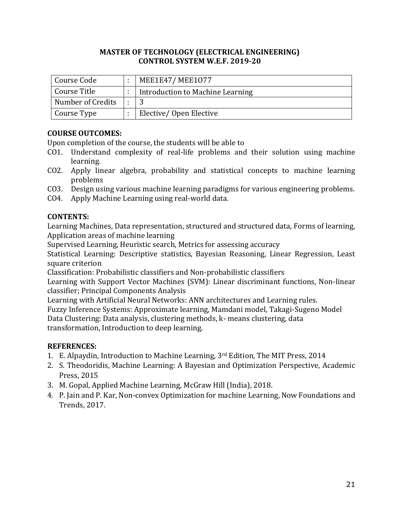| Course Code               | MEE1E47/MEE1077                  |
|---------------------------|----------------------------------|
| <sup>1</sup> Course Title | Introduction to Machine Learning |
| Number of Credits         |                                  |
| Course Type               | Elective/Open Elective           |

# **COURSE OUTCOMES:**

Upon completion of the course, the students will be able to

- CO1. Understand complexity of real-life problems and their solution using machine learning.
- CO2. Apply linear algebra, probability and statistical concepts to machine learning problems
- CO3. Design using various machine learning paradigms for various engineering problems.
- CO4. Apply Machine Learning using real-world data.

## **CONTENTS:**

Learning Machines, Data representation, structured and structured data, Forms of learning, Application areas of machine learning

Supervised Learning, Heuristic search, Metrics for assessing accuracy

Statistical Learning: Descriptive statistics, Bayesian Reasoning, Linear Regression, Least square criterion

Classification: Probabilistic classifiers and Non-probabilistic classifiers

Learning with Support Vector Machines (SVM): Linear discriminant functions, Non-linear classifier; Principal Components Analysis

Learning with Artificial Neural Networks: ANN architectures and Learning rules.

Fuzzy Inference Systems: Approximate learning, Mamdani model, Takagi-Sugeno Model Data Clustering: Data analysis, clustering methods, k- means clustering, data transformation, Introduction to deep learning.

- 1. E. Alpaydin, Introduction to Machine Learning, 3rd Edition, The MIT Press, 2014
- 2. S. Theodoridis, Machine Learning: A Bayesian and Optimization Perspective, Academic Press, 2015
- 3. M. Gopal, Applied Machine Learning, McGraw Hill (India), 2018.
- 4. P. Jain and P. Kar, Non-convex Optimization for machine Learning, Now Foundations and Trends, 2017.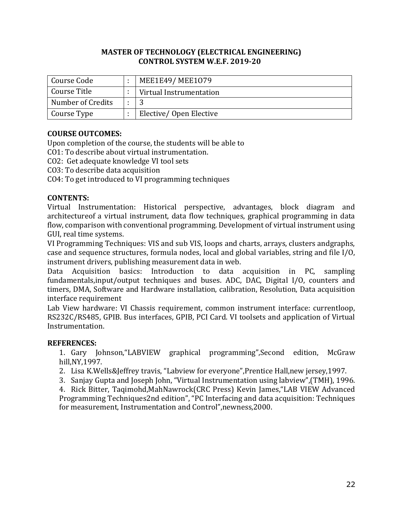| Course Code       | MEE1E49/MEE1079         |
|-------------------|-------------------------|
| Course Title      | Virtual Instrumentation |
| Number of Credits |                         |
| Course Type       | Elective/Open Elective  |

## **COURSE OUTCOMES:**

Upon completion of the course, the students will be able to

CO1: To describe about virtual instrumentation.

CO2: Get adequate knowledge VI tool sets

CO3: To describe data acquisition

CO4: To get introduced to VI programming techniques

#### **CONTENTS:**

Virtual Instrumentation: Historical perspective, advantages, block diagram and architectureof a virtual instrument, data flow techniques, graphical programming in data flow, comparison with conventional programming. Development of virtual instrument using GUI, real time systems.

VI Programming Techniques: VIS and sub VIS, loops and charts, arrays, clusters andgraphs, case and sequence structures, formula nodes, local and global variables, string and file I/O, instrument drivers, publishing measurement data in web.

Data Acquisition basics: Introduction to data acquisition in PC, sampling fundamentals,input/output techniques and buses. ADC, DAC, Digital I/O, counters and timers, DMA, Software and Hardware installation, calibration, Resolution, Data acquisition interface requirement

Lab View hardware: VI Chassis requirement, common instrument interface: currentloop, RS232C/RS485, GPIB. Bus interfaces, GPIB, PCI Card. VI toolsets and application of Virtual Instrumentation.

#### **REFERENCES:**

1. Gary Johnson,"LABVIEW graphical programming",Second edition, McGraw hill,NY,1997.

2. Lisa K.Wells&Jeffrey travis, "Labview for everyone",Prentice Hall,new jersey,1997.

3. Sanjay Gupta and Joseph John, "Virtual Instrumentation using labview",(TMH), 1996.

4. Rick Bitter, Taqimohd,MahNawrock(CRC Press) Kevin James,"LAB VIEW Advanced Programming Techniques2nd edition", "PC Interfacing and data acquisition: Techniques for measurement, Instrumentation and Control",newness,2000.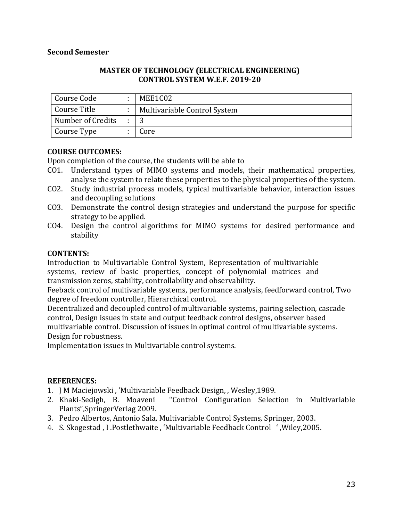#### **Second Semester**

#### **MASTER OF TECHNOLOGY (ELECTRICAL ENGINEERING) CONTROL SYSTEM W.E.F. 2019-20**

| Course Code       | MEE1C02                      |
|-------------------|------------------------------|
| I Course Title    | Multivariable Control System |
| Number of Credits |                              |
| Course Type       | Core                         |

#### **COURSE OUTCOMES:**

Upon completion of the course, the students will be able to

- CO1. Understand types of MIMO systems and models, their mathematical properties, analyse the system to relate these properties to the physical properties of the system.
- CO2. Study industrial process models, typical multivariable behavior, interaction issues and decoupling solutions
- CO3. Demonstrate the control design strategies and understand the purpose for specific strategy to be applied.
- CO4. Design the control algorithms for MIMO systems for desired performance and stability

#### **CONTENTS:**

Introduction to Multivariable Control System, Representation of multivariable systems, review of basic properties, concept of polynomial matrices and transmission zeros, stability, controllability and observability.

Feeback control of multivariable systems, performance analysis, feedforward control, Two degree of freedom controller, Hierarchical control.

Decentralized and decoupled control of multivariable systems, pairing selection, cascade control, Design issues in state and output feedback control designs, observer based multivariable control. Discussion of issues in optimal control of multivariable systems. Design for robustness.

Implementation issues in Multivariable control systems.

- 1. J M Maciejowski , 'Multivariable Feedback Design, , Wesley,1989.
- 2. Khaki-Sedigh, B. Moaveni "Control Configuration Selection in Multivariable Plants",SpringerVerlag 2009.
- 3. Pedro Albertos, Antonio Sala, Multivariable Control Systems, Springer, 2003.
- 4. S. Skogestad , I .Postlethwaite , 'Multivariable Feedback Control ' ,Wiley,2005.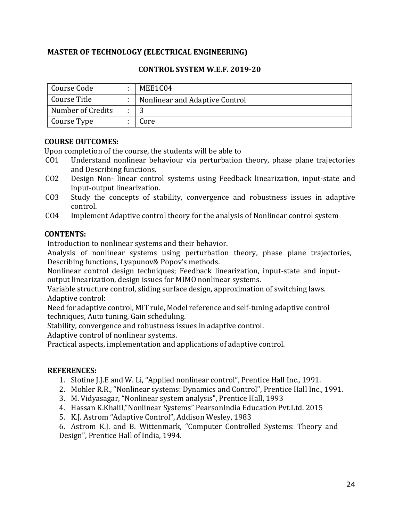# **MASTER OF TECHNOLOGY (ELECTRICAL ENGINEERING)**

## **CONTROL SYSTEM W.E.F. 2019-20**

| Course Code       | MEE1C04                        |
|-------------------|--------------------------------|
| Course Title      | Nonlinear and Adaptive Control |
| Number of Credits |                                |
| Course Type       | Core                           |

## **COURSE OUTCOMES:**

Upon completion of the course, the students will be able to

- CO1 Understand nonlinear behaviour via perturbation theory, phase plane trajectories and Describing functions.
- CO2 Design Non- linear control systems using Feedback linearization, input-state and input-output linearization.
- CO3 Study the concepts of stability, convergence and robustness issues in adaptive control.
- CO4 Implement Adaptive control theory for the analysis of Nonlinear control system

## **CONTENTS:**

Introduction to nonlinear systems and their behavior.

Analysis of nonlinear systems using perturbation theory, phase plane trajectories, Describing functions, Lyapunov& Popov's methods.

Nonlinear control design techniques; Feedback linearization, input-state and inputoutput linearization, design issues for MIMO nonlinear systems.

Variable structure control, sliding surface design, approximation of switching laws. Adaptive control:

Need for adaptive control, MIT rule, Model reference and self-tuning adaptive control techniques, Auto tuning, Gain scheduling.

Stability, convergence and robustness issues in adaptive control.

Adaptive control of nonlinear systems.

Practical aspects, implementation and applications of adaptive control.

# **REFERENCES:**

- 1. Slotine J.J.E and W. Li, "Applied nonlinear control", Prentice Hall Inc., 1991.
- 2. Mohler R.R., "Nonlinear systems: Dynamics and Control", Prentice Hall Inc., 1991.
- 3. M. Vidyasagar, "Nonlinear system analysis", Prentice Hall, 1993
- 4. Hassan K.Khalil,"Nonlinear Systems" PearsonIndia Education Pvt.Ltd. 2015
- 5. K.J. Astrom "Adaptive Control", Addison Wesley, 1983

6. Astrom K.J. and B. Wittenmark, "Computer Controlled Systems: Theory and Design", Prentice Hall of India, 1994.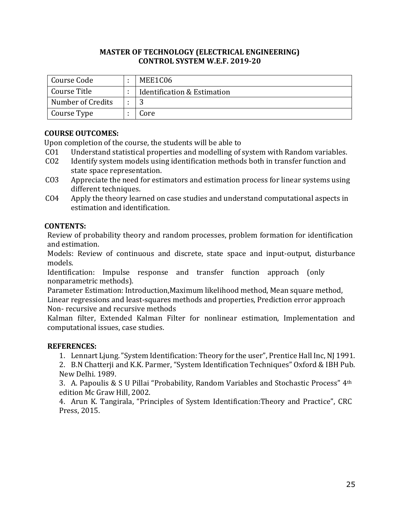| Course Code       | MEE1C06                     |
|-------------------|-----------------------------|
| Course Title      | Identification & Estimation |
| Number of Credits |                             |
| Course Type       | Core                        |

# **COURSE OUTCOMES:**

Upon completion of the course, the students will be able to

- CO1 Understand statistical properties and modelling of system with Random variables.
- CO2 Identify system models using identification methods both in transfer function and state space representation.
- CO3 Appreciate the need for estimators and estimation process for linear systems using different techniques.
- CO4 Apply the theory learned on case studies and understand computational aspects in estimation and identification.

## **CONTENTS:**

Review of probability theory and random processes, problem formation for identification and estimation.

Models: Review of continuous and discrete, state space and input-output, disturbance models.

Identification: Impulse response and transfer function approach (only nonparametric methods).

Parameter Estimation: Introduction,Maximum likelihood method, Mean square method, Linear regressions and least-squares methods and properties, Prediction error approach Non- recursive and recursive methods

Kalman filter, Extended Kalman Filter for nonlinear estimation, Implementation and computational issues, case studies.

# **REFERENCES:**

1. Lennart Ljung. "System Identification: Theory for the user", Prentice Hall Inc, NJ 1991.

2. B.N Chatterji and K.K. Parmer, "System Identification Techniques" Oxford & IBH Pub. New Delhi. 1989.

3. A. Papoulis & S U Pillai "Probability, Random Variables and Stochastic Process" 4th edition Mc Graw Hill, 2002.

4. Arun K. Tangirala, "Principles of System Identification:Theory and Practice", CRC Press, 2015.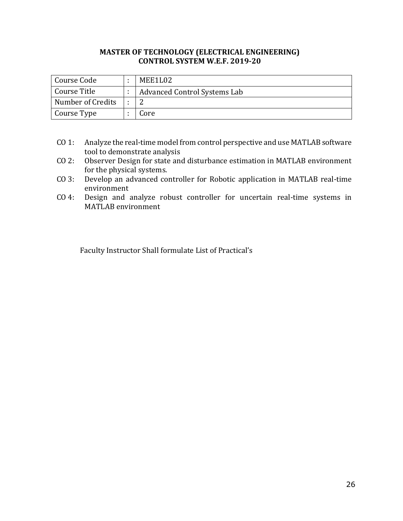| Course Code       | MEE1L02                      |
|-------------------|------------------------------|
| Course Title      | Advanced Control Systems Lab |
| Number of Credits |                              |
| Course Type       | Core                         |

- CO 1: Analyze the real-time model from control perspective and use MATLAB software tool to demonstrate analysis
- CO 2: Observer Design for state and disturbance estimation in MATLAB environment for the physical systems.
- CO 3: Develop an advanced controller for Robotic application in MATLAB real-time environment
- CO 4: Design and analyze robust controller for uncertain real-time systems in MATLAB environment

Faculty Instructor Shall formulate List of Practical's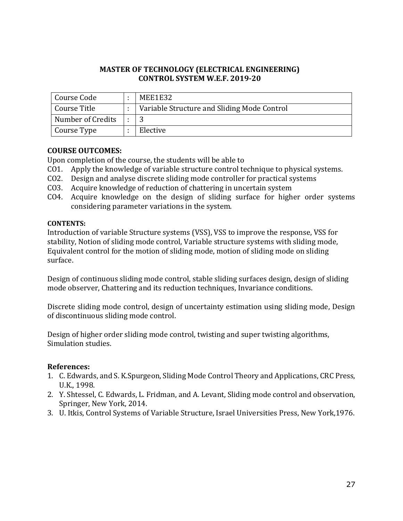| Course Code       | MEE1E32                                     |
|-------------------|---------------------------------------------|
| Course Title      | Variable Structure and Sliding Mode Control |
| Number of Credits |                                             |
| Course Type       | Elective                                    |

## **COURSE OUTCOMES:**

Upon completion of the course, the students will be able to

- CO1. Apply the knowledge of variable structure control technique to physical systems.
- CO2. Design and analyse discrete sliding mode controller for practical systems
- CO3. Acquire knowledge of reduction of chattering in uncertain system
- CO4. Acquire knowledge on the design of sliding surface for higher order systems considering parameter variations in the system.

#### **CONTENTS:**

Introduction of variable Structure systems (VSS), VSS to improve the response, VSS for stability, Notion of sliding mode control, Variable structure systems with sliding mode, Equivalent control for the motion of sliding mode, motion of sliding mode on sliding surface.

Design of continuous sliding mode control, stable sliding surfaces design, design of sliding mode observer, Chattering and its reduction techniques, Invariance conditions.

Discrete sliding mode control, design of uncertainty estimation using sliding mode, Design of discontinuous sliding mode control.

Design of higher order sliding mode control, twisting and super twisting algorithms, Simulation studies.

## **References:**

- 1. C. Edwards, and S. K.Spurgeon, Sliding Mode Control Theory and Applications, CRC Press, U.K., 1998.
- 2. Y. Shtessel, C. Edwards, L. Fridman, and A. Levant, Sliding mode control and observation, Springer, New York, 2014.
- 3. U. Itkis, Control Systems of Variable Structure, Israel Universities Press, New York,1976.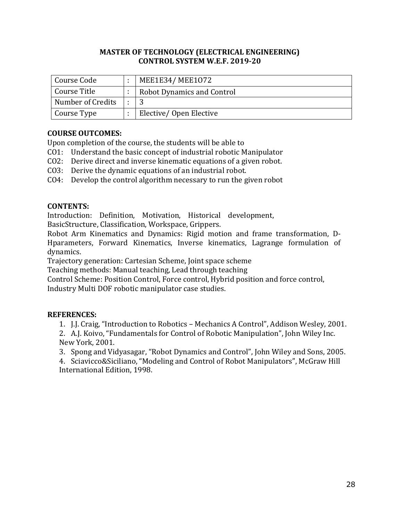| Course Code       | MEE1E34/MEE1072                   |
|-------------------|-----------------------------------|
| Course Title      | <b>Robot Dynamics and Control</b> |
| Number of Credits |                                   |
| Course Type       | Elective/Open Elective            |

## **COURSE OUTCOMES:**

Upon completion of the course, the students will be able to

- CO1: Understand the basic concept of industrial robotic Manipulator
- CO2: Derive direct and inverse kinematic equations of a given robot.
- CO3: Derive the dynamic equations of an industrial robot.
- CO4: Develop the control algorithm necessary to run the given robot

## **CONTENTS:**

Introduction: Definition, Motivation, Historical development,

BasicStructure, Classification, Workspace, Grippers.

Robot Arm Kinematics and Dynamics: Rigid motion and frame transformation, D-Hparameters, Forward Kinematics, Inverse kinematics, Lagrange formulation of dynamics.

Trajectory generation: Cartesian Scheme, Joint space scheme

Teaching methods: Manual teaching, Lead through teaching

Control Scheme: Position Control, Force control, Hybrid position and force control,

Industry Multi DOF robotic manipulator case studies.

# **REFERENCES:**

1. J.J. Craig, "Introduction to Robotics – Mechanics A Control", Addison Wesley, 2001.

2. A.J. Koivo, "Fundamentals for Control of Robotic Manipulation", John Wiley Inc. New York, 2001.

3. Spong and Vidyasagar, "Robot Dynamics and Control", John Wiley and Sons, 2005.

4. Sciavicco&Siciliano, "Modeling and Control of Robot Manipulators", McGraw Hill International Edition, 1998.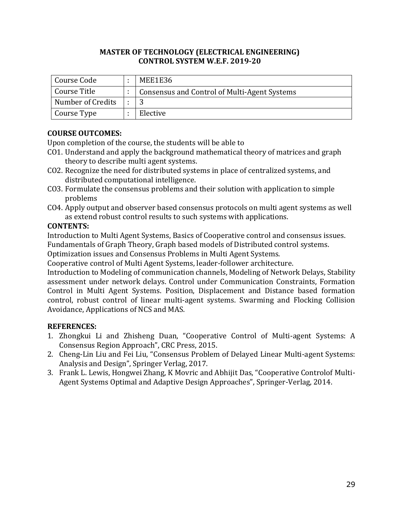| Course Code       | MEE1E36                                      |
|-------------------|----------------------------------------------|
| Course Title      | Consensus and Control of Multi-Agent Systems |
| Number of Credits |                                              |
| Course Type       | Elective                                     |

# **COURSE OUTCOMES:**

Upon completion of the course, the students will be able to

- CO1. Understand and apply the background mathematical theory of matrices and graph theory to describe multi agent systems.
- CO2. Recognize the need for distributed systems in place of centralized systems, and distributed computational intelligence.
- CO3. Formulate the consensus problems and their solution with application to simple problems
- CO4. Apply output and observer based consensus protocols on multi agent systems as well as extend robust control results to such systems with applications.

# **CONTENTS:**

Introduction to Multi Agent Systems, Basics of Cooperative control and consensus issues. Fundamentals of Graph Theory, Graph based models of Distributed control systems.

Optimization issues and Consensus Problems in Multi Agent Systems.

Cooperative control of Multi Agent Systems, leader-follower architecture.

Introduction to Modeling of communication channels, Modeling of Network Delays, Stability assessment under network delays. Control under Communication Constraints, Formation Control in Multi Agent Systems. Position, Displacement and Distance based formation control, robust control of linear multi-agent systems. Swarming and Flocking Collision Avoidance, Applications of NCS and MAS.

- 1. Zhongkui Li and Zhisheng Duan, "Cooperative Control of Multi-agent Systems: A Consensus Region Approach", CRC Press, 2015.
- 2. Cheng-Lin Liu and Fei Liu, "Consensus Problem of Delayed Linear Multi-agent Systems: Analysis and Design", Springer Verlag, 2017.
- 3. Frank L. Lewis, Hongwei Zhang, K Movric and Abhijit Das, "Cooperative Controlof Multi-Agent Systems Optimal and Adaptive Design Approaches", Springer-Verlag, 2014.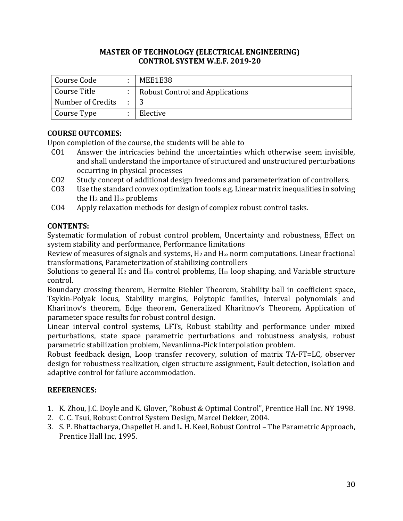| Course Code       | MEE1E38                                |
|-------------------|----------------------------------------|
| Course Title      | <b>Robust Control and Applications</b> |
| Number of Credits |                                        |
| Course Type       | Elective                               |

# **COURSE OUTCOMES:**

Upon completion of the course, the students will be able to

- CO1 Answer the intricacies behind the uncertainties which otherwise seem invisible, and shall understand the importance of structured and unstructured perturbations occurring in physical processes
- CO2 Study concept of additional design freedoms and parameterization of controllers.
- CO3 Use the standard convex optimization tools e.g. Linear matrix inequalities in solving the H<sub>2</sub> and H∞ problems
- CO4 Apply relaxation methods for design of complex robust control tasks.

## **CONTENTS:**

Systematic formulation of robust control problem, Uncertainty and robustness, Effect on system stability and performance, Performance limitations

Review of measures of signals and systems,  $H_2$  and  $H_{\infty}$  norm computations. Linear fractional transformations, Parameterization of stabilizing controllers

Solutions to general H<sub>2</sub> and H∞ control problems, H∞ loop shaping, and Variable structure control.

Boundary crossing theorem, Hermite Biehler Theorem, Stability ball in coefficient space, Tsykin-Polyak locus, Stability margins, Polytopic families, Interval polynomials and Kharitnov's theorem, Edge theorem, Generalized Kharitnov's Theorem, Application of parameter space results for robust control design.

Linear interval control systems, LFTs, Robust stability and performance under mixed perturbations, state space parametric perturbations and robustness analysis, robust parametric stabilization problem, Nevanlinna-Pick interpolation problem.

Robust feedback design, Loop transfer recovery, solution of matrix TA-FT=LC, observer design for robustness realization, eigen structure assignment, Fault detection, isolation and adaptive control for failure accommodation.

- 1. K. Zhou, J.C. Doyle and K. Glover, "Robust & Optimal Control", Prentice Hall Inc. NY 1998.
- 2. C. C. Tsui, Robust Control System Design, Marcel Dekker, 2004.
- 3. S. P. Bhattacharya, Chapellet H. and L. H. Keel, Robust Control The Parametric Approach, Prentice Hall Inc, 1995.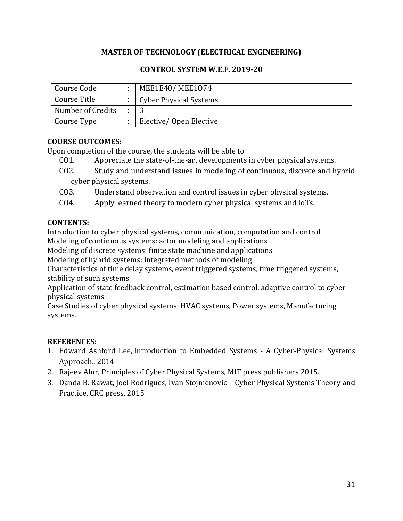# **MASTER OF TECHNOLOGY (ELECTRICAL ENGINEERING)**

## **CONTROL SYSTEM W.E.F. 2019-20**

| Course Code       | MEE1E40/MEE1074               |
|-------------------|-------------------------------|
| Course Title      | <b>Cyber Physical Systems</b> |
| Number of Credits |                               |
| Course Type       | Elective/Open Elective        |

# **COURSE OUTCOMES:**

Upon completion of the course, the students will be able to

- CO1. Appreciate the state-of-the-art developments in cyber physical systems.
- CO2. Study and understand issues in modeling of continuous, discrete and hybrid cyber physical systems.
- CO3. Understand observation and control issues in cyber physical systems.
- CO4. Apply learned theory to modern cyber physical systems and IoTs.

## **CONTENTS:**

Introduction to cyber physical systems, communication, computation and control Modeling of continuous systems: actor modeling and applications

Modeling of discrete systems: finite state machine and applications

Modeling of hybrid systems: integrated methods of modeling

Characteristics of time delay systems, event triggered systems, time triggered systems, stability of such systems

Application of state feedback control, estimation based control, adaptive control to cyber physical systems

Case Studies of cyber physical systems; HVAC systems, Power systems, Manufacturing systems.

- 1. Edward Ashford Lee, Introduction to Embedded Systems A Cyber-Physical Systems Approach., 2014
- 2. Rajeev Alur, Principles of Cyber Physical Systems, MIT press publishers 2015.
- 3. Danda B. Rawat, Joel Rodrigues, Ivan Stojmenovic Cyber Physical Systems Theory and Practice, CRC press, 2015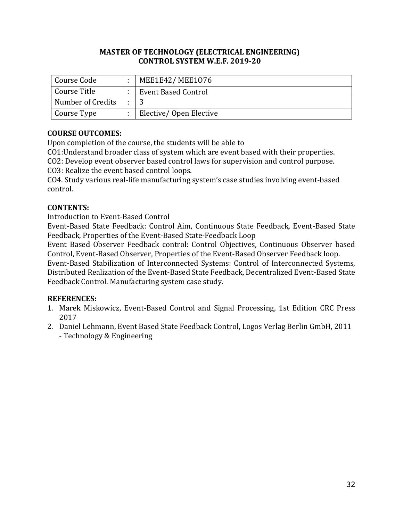| Course Code       | MEE1E42/MEE1076        |
|-------------------|------------------------|
| Course Title      | Event Based Control    |
| Number of Credits |                        |
| Course Type       | Elective/Open Elective |

# **COURSE OUTCOMES:**

Upon completion of the course, the students will be able to

CO1:Understand broader class of system which are event based with their properties.

CO2: Develop event observer based control laws for supervision and control purpose.

CO3: Realize the event based control loops.

CO4. Study various real-life manufacturing system's case studies involving event-based control.

# **CONTENTS:**

Introduction to Event-Based Control

Event-Based State Feedback: Control Aim, Continuous State Feedback, Event-Based State Feedback, Properties of the Event-Based State-Feedback Loop

Event Based Observer Feedback control: Control Objectives, Continuous Observer based Control, Event-Based Observer, Properties of the Event-Based Observer Feedback loop.

Event-Based Stabilization of Interconnected Systems: Control of Interconnected Systems, Distributed Realization of the Event-Based State Feedback, Decentralized Event-Based State Feedback Control. Manufacturing system case study.

- 1. Marek Miskowicz, Event-Based Control and Signal Processing, 1st Edition CRC Press 2017
- 2. [Daniel Lehmann,](https://www.google.co.in/search?tbo=p&tbm=bks&q=inauthor:%22Daniel+Lehmann%22) Event Based State Feedback Control, Logos Verlag Berlin GmbH, 2011 - [Technology & Engineering](https://www.google.co.in/search?tbo=p&tbm=bks&q=subject:%22Technology+%26+Engineering%22&source=gbs_ge_summary_r&cad=0)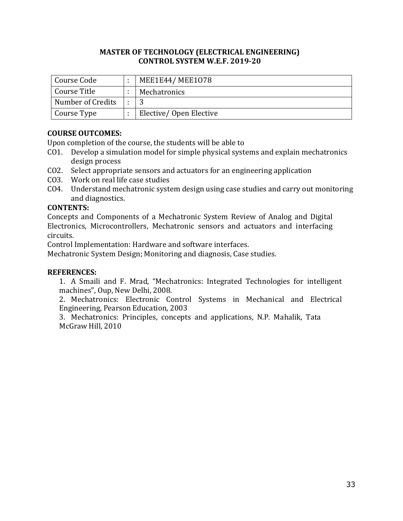| Course Code       | MEE1E44/MEE1078        |
|-------------------|------------------------|
| Course Title      | Mechatronics           |
| Number of Credits |                        |
| Course Type       | Elective/Open Elective |

# **COURSE OUTCOMES:**

Upon completion of the course, the students will be able to

- CO1. Develop a simulation model for simple physical systems and explain mechatronics design process
- CO2. Select appropriate sensors and actuators for an engineering application
- CO3. Work on real life case studies
- CO4. Understand mechatronic system design using case studies and carry out monitoring and diagnostics.

## **CONTENTS:**

Concepts and Components of a Mechatronic System Review of Analog and Digital Electronics, Microcontrollers, Mechatronic sensors and actuators and interfacing circuits.

Control Implementation: Hardware and software interfaces.

Mechatronic System Design; Monitoring and diagnosis, Case studies.

## **REFERENCES:**

1. A Smaili and F. Mrad, "Mechatronics: Integrated Technologies for intelligent machines", Oup, New Delhi, 2008.

2. Mechatronics: Electronic Control Systems in Mechanical and Electrical Engineering, Pearson Education, 2003

3. Mechatronics: Principles, concepts and applications, N.P. Mahalik, Tata McGraw Hill, 2010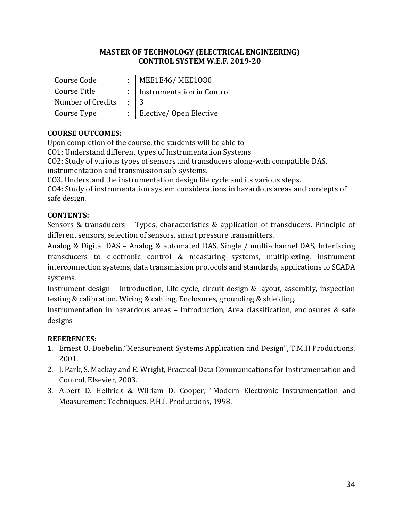| Course Code       | MEE1E46/MEE1080            |
|-------------------|----------------------------|
| Course Title      | Instrumentation in Control |
| Number of Credits |                            |
| Course Type       | Elective/Open Elective     |

# **COURSE OUTCOMES:**

Upon completion of the course, the students will be able to

CO1: Understand different types of Instrumentation Systems

CO2: Study of various types of sensors and transducers along-with compatible DAS, instrumentation and transmission sub-systems.

CO3. Understand the instrumentation design life cycle and its various steps.

CO4: Study of instrumentation system considerations in hazardous areas and concepts of safe design.

# **CONTENTS:**

Sensors & transducers – Types, characteristics & application of transducers. Principle of different sensors, selection of sensors, smart pressure transmitters.

Analog & Digital DAS – Analog & automated DAS, Single / multi-channel DAS, Interfacing transducers to electronic control & measuring systems, multiplexing, instrument interconnection systems, data transmission protocols and standards, applications to SCADA systems.

Instrument design – Introduction, Life cycle, circuit design & layout, assembly, inspection testing & calibration. Wiring & cabling, Enclosures, grounding & shielding.

Instrumentation in hazardous areas – Introduction, Area classification, enclosures & safe designs

- 1. Ernest O. Doebelin,"Measurement Systems Application and Design", T.M.H Productions, 2001.
- 2. J. Park, S. Mackay and E. Wright, Practical Data Communications for Instrumentation and Control, Elsevier, 2003.
- 3. Albert D. Helfrick & William D. Cooper, "Modern Electronic Instrumentation and Measurement Techniques, P.H.I. Productions, 1998.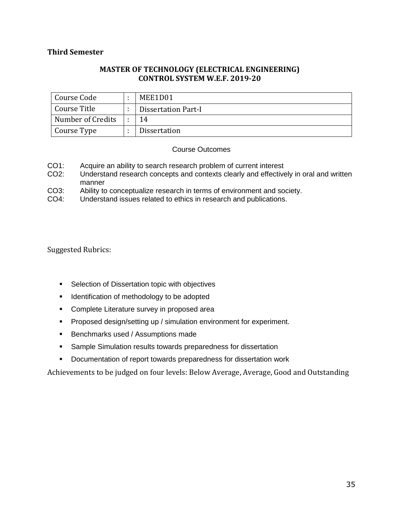#### **Third Semester**

#### **MASTER OF TECHNOLOGY (ELECTRICAL ENGINEERING) CONTROL SYSTEM W.E.F. 2019-20**

| Course Code       | MEE1D01             |
|-------------------|---------------------|
| Course Title      | Dissertation Part-I |
| Number of Credits | 14                  |
| Course Type       | <b>Dissertation</b> |

#### Course Outcomes

- CO1: Acquire an ability to search research problem of current interest<br>CO2: Understand research concepts and contexts clearly and effective
- Understand research concepts and contexts clearly and effectively in oral and written manner
- CO3: Ability to conceptualize research in terms of environment and society.
- CO4: Understand issues related to ethics in research and publications.

#### Suggested Rubrics:

- **Selection of Dissertation topic with objectives**
- **I** Identification of methodology to be adopted
- **EXECOMPLETE Literature survey in proposed area**
- **Proposed design/setting up / simulation environment for experiment.**
- **Benchmarks used / Assumptions made**
- **Sample Simulation results towards preparedness for dissertation**
- **Documentation of report towards preparedness for dissertation work**

Achievements to be judged on four levels: Below Average, Average, Good and Outstanding